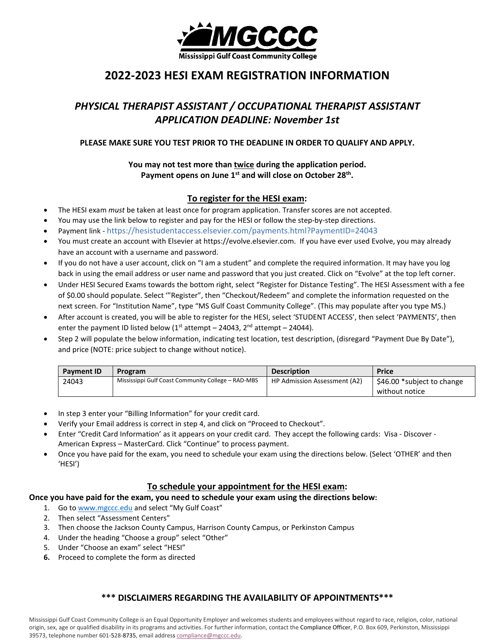

# **2022-2023 HE***S***I EXAM REGISTRATION INFORMATION**

# *PHYSICAL THERAPIST ASSISTANT / OCCUPATIONAL THERAPIST ASSISTANT APPLICATION DEADLINE: November 1st*

## **PLEASE MAKE SURE YOU TEST PRIOR TO THE DEADLINE IN ORDER TO QUALIFY AND APPLY.**

## **You may not test more than twice during the application period.**  Payment opens on June 1<sup>st</sup> and will close on October 28<sup>th</sup>.

## **To register for the HESI exam:**

- The HESI exam *must* be taken at least once for program application. Transfer scores are not accepted.
- You may use the link below to register and pay for the HESI or follow the step-by-step directions.
- Payment link https://hesistudentaccess.elsevier.com/payments.html?PaymentID=24043
- You must create an account with Elsevier at https://evolve.elsevier.com. If you have ever used Evolve, you may already have an account with a username and password.
- If you do not have a user account, click on "I am a student" and complete the required information. It may have you log back in using the email address or user name and password that you just created. Click on "Evolve" at the top left corner.
- Under HESI Secured Exams towards the bottom right, select "Register for Distance Testing". The HESI Assessment with a fee of \$0.00 should populate. Select '"Register", then "Checkout/Redeem" and complete the information requested on the next screen. For "Institution Name", type "MS Gulf Coast Community College". (This may populate after you type MS.)
- After account is created, you will be able to register for the HESI, select 'STUDENT ACCESS', then select 'PAYMENTS', then enter the payment ID listed below ( $1<sup>st</sup>$  attempt – 24043,  $2<sup>nd</sup>$  attempt – 24044).
- Step 2 will populate the below information, indicating test location, test description, (disregard "Payment Due By Date"), and price (NOTE: price subject to change without notice).

| <b>Payment ID</b> | <b>Program</b>                                     | <b>Description</b>           | Price                      |
|-------------------|----------------------------------------------------|------------------------------|----------------------------|
| 24043             | Mississippi Gulf Coast Community College - RAD-MBS | HP Admission Assessment (A2) | \$46.00 *subject to change |
|                   |                                                    |                              | without notice             |

- In step 3 enter your "Billing Information" for your credit card.
- Verify your Email address is correct in step 4, and click on "Proceed to Checkout".
- Enter "Credit Card Information' as it appears on your credit card. They accept the following cards: Visa Discover American Express – MasterCard. Click "Continue" to process payment.
- Once you have paid for the exam, you need to schedule your exam using the directions below. (Select 'OTHER' and then 'HESI')

### **To schedule your appointment for the HESI exam:**

#### **Once you have paid for the exam, you need to schedule your exam using the directions below:**

- 1. Go t[o www.mgccc.edu](http://www.mgccc.edu/) and select "My Gulf Coast"
- 2. Then select "Assessment Centers"
- 3. Then choose the Jackson County Campus, Harrison County Campus, or Perkinston Campus
- 4. Under the heading "Choose a group" select "Other"
- 5. Under "Choose an exam" select "HESI"
- **6.** Proceed to complete the form as directed

## **\*\*\* DISCLAIMERS REGARDING THE AVAILABILITY OF APPOINTMENTS\*\*\***

Mississippi Gulf Coast Community College is an Equal Opportunity Employer and welcomes students and employees without regard to race, religion, color, national origin, sex, age or qualified disability in its programs and activities. For further information, contact the Compliance Officer, P.O. Box 609, Perkinston, Mississippi 39573, telephone number 601-528-8735, email address [compliance@mgccc.edu.](mailto:compliance@mgccc.edu)